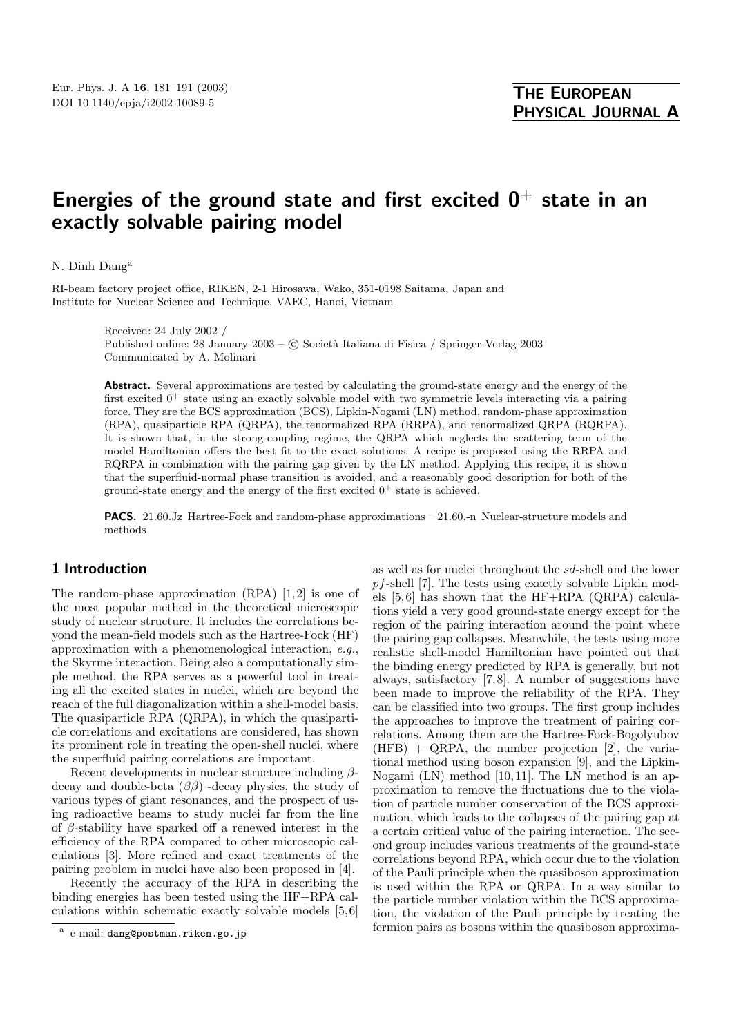# **Energies of the ground state and first excited 0<sup>+</sup> state in an exactly solvable pairing model**

N. Dinh Dang<sup>a</sup>

RI-beam factory project office, RIKEN, 2-1 Hirosawa, Wako, 351-0198 Saitama, Japan and Institute for Nuclear Science and Technique, VAEC, Hanoi, Vietnam

> Received: 24 July 2002 / Published online: 28 January 2003 – © Società Italiana di Fisica / Springer-Verlag 2003 Communicated by A. Molinari

**Abstract.** Several approximations are tested by calculating the ground-state energy and the energy of the first excited  $0^+$  state using an exactly solvable model with two symmetric levels interacting via a pairing force. They are the BCS approximation (BCS), Lipkin-Nogami (LN) method, random-phase approximation (RPA), quasiparticle RPA (QRPA), the renormalized RPA (RRPA), and renormalized QRPA (RQRPA). It is shown that, in the strong-coupling regime, the QRPA which neglects the scattering term of the model Hamiltonian offers the best fit to the exact solutions. A recipe is proposed using the RRPA and RQRPA in combination with the pairing gap given by the LN method. Applying this recipe, it is shown that the superfluid-normal phase transition is avoided, and a reasonably good description for both of the ground-state energy and the energy of the first excited  $0^+$  state is achieved.

**PACS.** 21.60.Jz Hartree-Fock and random-phase approximations – 21.60.-n Nuclear-structure models and methods

# **1 Introduction**

The random-phase approximation (RPA) [1,2] is one of the most popular method in the theoretical microscopic study of nuclear structure. It includes the correlations beyond the mean-field models such as the Hartree-Fock (HF) approximation with a phenomenological interaction, e.g., the Skyrme interaction. Being also a computationally simple method, the RPA serves as a powerful tool in treating all the excited states in nuclei, which are beyond the reach of the full diagonalization within a shell-model basis. The quasiparticle RPA (QRPA), in which the quasiparticle correlations and excitations are considered, has shown its prominent role in treating the open-shell nuclei, where the superfluid pairing correlations are important.

Recent developments in nuclear structure including  $\beta$ decay and double-beta  $(\beta \beta)$  -decay physics, the study of various types of giant resonances, and the prospect of using radioactive beams to study nuclei far from the line of  $\beta$ -stability have sparked off a renewed interest in the efficiency of the RPA compared to other microscopic calculations [3]. More refined and exact treatments of the pairing problem in nuclei have also been proposed in [4].

Recently the accuracy of the RPA in describing the binding energies has been tested using the HF+RPA calculations within schematic exactly solvable models [5, 6] as well as for nuclei throughout the sd-shell and the lower pf-shell [7]. The tests using exactly solvable Lipkin models [5, 6] has shown that the HF+RPA (QRPA) calculations yield a very good ground-state energy except for the region of the pairing interaction around the point where the pairing gap collapses. Meanwhile, the tests using more realistic shell-model Hamiltonian have pointed out that the binding energy predicted by RPA is generally, but not always, satisfactory [7, 8]. A number of suggestions have been made to improve the reliability of the RPA. They can be classified into two groups. The first group includes the approaches to improve the treatment of pairing correlations. Among them are the Hartree-Fock-Bogolyubov  $(HFB) + QRPA$ , the number projection [2], the variational method using boson expansion [9], and the Lipkin-Nogami (LN) method [10, 11]. The LN method is an approximation to remove the fluctuations due to the violation of particle number conservation of the BCS approximation, which leads to the collapses of the pairing gap at a certain critical value of the pairing interaction. The second group includes various treatments of the ground-state correlations beyond RPA, which occur due to the violation of the Pauli principle when the quasiboson approximation is used within the RPA or QRPA. In a way similar to the particle number violation within the BCS approximation, the violation of the Pauli principle by treating the fermion pairs as bosons within the quasiboson approxima-

<sup>a</sup> e-mail: dang@postman.riken.go.jp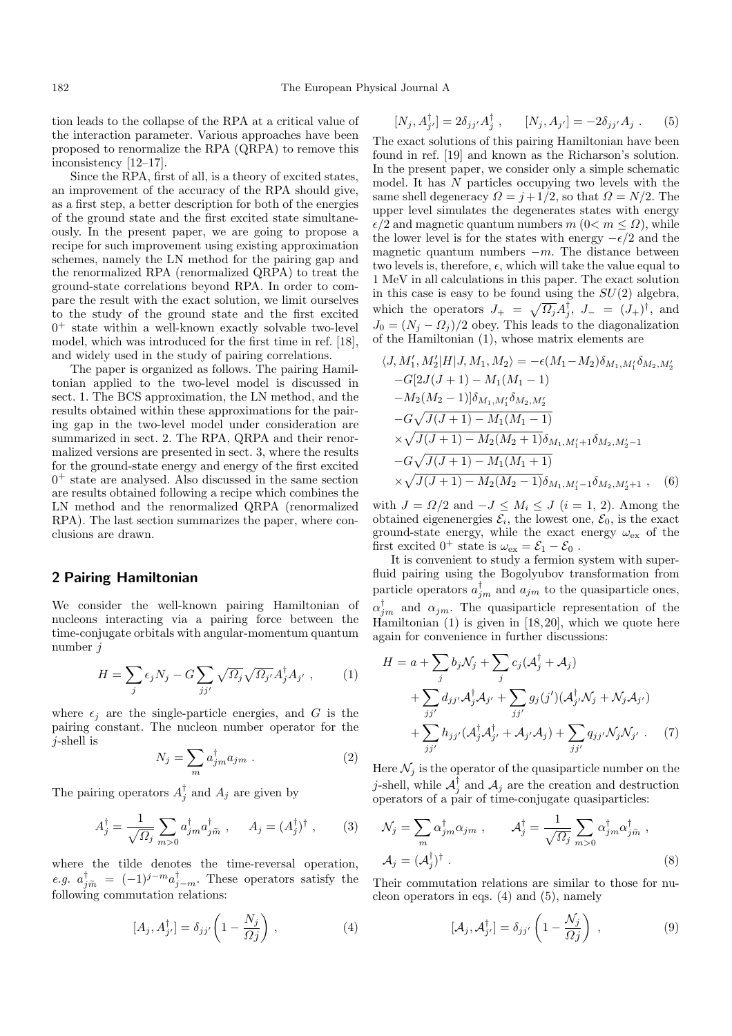tion leads to the collapse of the RPA at a critical value of the interaction parameter. Various approaches have been proposed to renormalize the RPA (QRPA) to remove this inconsistency [12–17].

Since the RPA, first of all, is a theory of excited states, an improvement of the accuracy of the RPA should give, as a first step, a better description for both of the energies of the ground state and the first excited state simultaneously. In the present paper, we are going to propose a recipe for such improvement using existing approximation schemes, namely the LN method for the pairing gap and the renormalized RPA (renormalized QRPA) to treat the ground-state correlations beyond RPA. In order to compare the result with the exact solution, we limit ourselves to the study of the ground state and the first excited  $0^+$  state within a well-known exactly solvable two-level model, which was introduced for the first time in ref. [18], and widely used in the study of pairing correlations.

The paper is organized as follows. The pairing Hamiltonian applied to the two-level model is discussed in sect. 1. The BCS approximation, the LN method, and the results obtained within these approximations for the pairing gap in the two-level model under consideration are summarized in sect. 2. The RPA, QRPA and their renormalized versions are presented in sect. 3, where the results for the ground-state energy and energy of the first excited  $0^+$  state are analysed. Also discussed in the same section are results obtained following a recipe which combines the LN method and the renormalized QRPA (renormalized RPA). The last section summarizes the paper, where conclusions are drawn.

# **2 Pairing Hamiltonian**

We consider the well-known pairing Hamiltonian of nucleons interacting via a pairing force between the time-conjugate orbitals with angular-momentum quantum number j

$$
H = \sum_{j} \epsilon_j N_j - G \sum_{jj'} \sqrt{\Omega_j} \sqrt{\Omega_{j'}} A_j^{\dagger} A_{j'} , \qquad (1)
$$

where  $\epsilon_i$  are the single-particle energies, and G is the pairing constant. The nucleon number operator for the j-shell is

$$
N_j = \sum_m a_{jm}^{\dagger} a_{jm} \tag{2}
$$

The pairing operators  $A_j^{\dagger}$  and  $A_j$  are given by

$$
A_j^{\dagger} = \frac{1}{\sqrt{\Omega_j}} \sum_{m>0} a_{jm}^{\dagger} a_{j\widetilde{m}}^{\dagger} , \qquad A_j = (A_j^{\dagger})^{\dagger} , \qquad (3)
$$

where the tilde denotes the time-reversal operation, e.g.  $a_{j\tilde{m}}^{\dagger} = (-1)^{j-m} a_{j-m}^{\dagger}$ . These operators satisfy the following commutation relations: following commutation relations:

$$
[A_j, A_{j'}^\dagger] = \delta_{jj'} \left( 1 - \frac{N_j}{\Omega j} \right) , \qquad (4)
$$

$$
[N_j, A_{j'}^{\dagger}] = 2\delta_{jj'} A_j^{\dagger} , \qquad [N_j, A_{j'}] = -2\delta_{jj'} A_j . \qquad (5)
$$

The exact solutions of this pairing Hamiltonian have been found in ref. [19] and known as the Richarson's solution. In the present paper, we consider only a simple schematic model. It has N particles occupying two levels with the same shell degeneracy  $\Omega = j + 1/2$ , so that  $\Omega = N/2$ . The upper level simulates the degenerates states with energy  $\epsilon/2$  and magnetic quantum numbers  $m (0 < m < \Omega)$ , while the lower level is for the states with energy  $-\epsilon/2$  and the magnetic quantum numbers  $-m$ . The distance between two levels is, therefore,  $\epsilon$ , which will take the value equal to 1 MeV in all calculations in this paper. The exact solution in this case is easy to be found using the  $SU(2)$  algebra, which the operators  $J_+ = \sqrt{\Omega_j} A_j^{\dagger}, J_- = (J_+)^{\dagger}$ , and  $J_0 = (N_j - \Omega_j)/2$  obey. This leads to the diagonalization of the Hamiltonian (1), whose matrix elements are

$$
\langle J, M'_1, M'_2 | H | J, M_1, M_2 \rangle = -\epsilon (M_1 - M_2) \delta_{M_1, M'_1} \delta_{M_2, M'_2}
$$
  
\n
$$
-G[2J(J+1) - M_1(M_1 - 1)
$$
  
\n
$$
-M_2(M_2 - 1)] \delta_{M_1, M'_1} \delta_{M_2, M'_2}
$$
  
\n
$$
-G\sqrt{J(J+1) - M_1(M_1 - 1)}
$$
  
\n
$$
\times \sqrt{J(J+1) - M_2(M_2 + 1)} \delta_{M_1, M'_1 + 1} \delta_{M_2, M'_2 - 1}
$$
  
\n
$$
-G\sqrt{J(J+1) - M_1(M_1 + 1)}
$$
  
\n
$$
\times \sqrt{J(J+1) - M_2(M_2 - 1)} \delta_{M_1, M'_1 - 1} \delta_{M_2, M'_2 + 1} ,
$$
 (6)

with  $J = \Omega/2$  and  $-J \leq M_i \leq J$   $(i = 1, 2)$ . Among the obtained eigenenergies  $\mathcal{E}_i$ , the lowest one,  $\mathcal{E}_0$ , is the exact ground-state energy, while the exact energy  $\omega_{\text{ex}}$  of the first excited  $0^+$  state is  $\omega_{\text{ex}} = \mathcal{E}_1 - \mathcal{E}_0$ .

It is convenient to study a fermion system with superfluid pairing using the Bogolyubov transformation from particle operators  $a_{jm}^{\dagger}$  and  $a_{jm}$  to the quasiparticle ones,  $\alpha_{jm}^{\dagger}$  and  $\alpha_{jm}$ . The quasiparticle representation of the Hamiltonian  $(1)$  is given in  $[18, 20]$ , which we quote here again for convenience in further discussions:

$$
H = a + \sum_{j} b_{j} \mathcal{N}_{j} + \sum_{j} c_{j} (\mathcal{A}_{j}^{\dagger} + \mathcal{A}_{j})
$$
  
+ 
$$
\sum_{j j'} d_{j j'} \mathcal{A}_{j}^{\dagger} \mathcal{A}_{j'} + \sum_{j j'} g_{j} (j') (\mathcal{A}_{j'}^{\dagger} \mathcal{N}_{j} + \mathcal{N}_{j} \mathcal{A}_{j'})
$$
  
+ 
$$
\sum_{j j'} h_{j j'} (\mathcal{A}_{j}^{\dagger} \mathcal{A}_{j'}^{\dagger} + \mathcal{A}_{j'} \mathcal{A}_{j}) + \sum_{j j'} q_{j j'} \mathcal{N}_{j} \mathcal{N}_{j'} . \quad (7)
$$

Here  $\mathcal{N}_i$  is the operator of the quasiparticle number on the *j*-shell, while  $\mathcal{A}_{j}^{\dagger}$  and  $\mathcal{A}_{j}$  are the creation and destruction operators of a pair of time-conjugate quasiparticles:

$$
\mathcal{N}_j = \sum_m \alpha_{jm}^\dagger \alpha_{jm} , \qquad \mathcal{A}_j^\dagger = \frac{1}{\sqrt{\Omega_j}} \sum_{m>0} \alpha_{jm}^\dagger \alpha_{jm}^\dagger ,
$$
  

$$
\mathcal{A}_j = (\mathcal{A}_j^\dagger)^\dagger .
$$
 (8)

Their commutation relations are similar to those for nucleon operators in eqs. (4) and (5), namely

$$
[\mathcal{A}_j, \mathcal{A}_{j'}^\dagger] = \delta_{jj'} \left( 1 - \frac{\mathcal{N}_j}{\Omega j} \right) , \qquad (9)
$$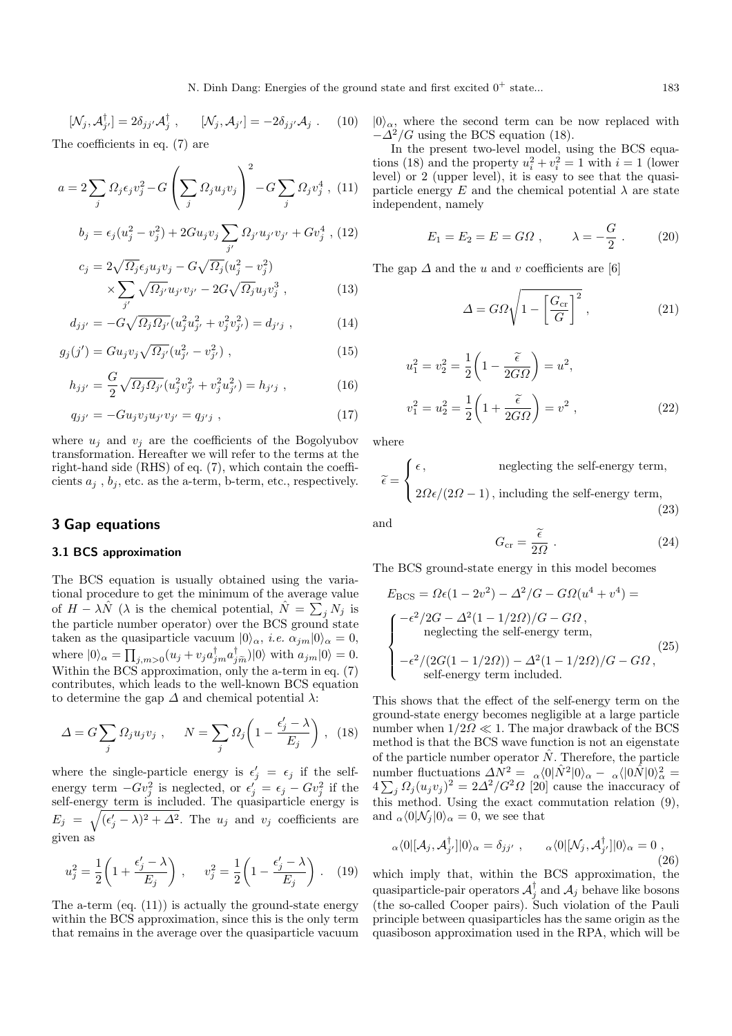$$
[\mathcal{N}_j, \mathcal{A}_{j'}^\dagger] = 2\delta_{jj'}\mathcal{A}_j^\dagger , \qquad [\mathcal{N}_j, \mathcal{A}_{j'}] = -2\delta_{jj'}\mathcal{A}_j . \qquad (10)
$$

The coefficients in eq. ( $\ell$ ) are

$$
a = 2\sum_{j} \Omega_j \epsilon_j v_j^2 - G\left(\sum_j \Omega_j u_j v_j\right)^2 - G\sum_j \Omega_j v_j^4 , \quad (11)
$$

$$
b_j = \epsilon_j (u_j^2 - v_j^2) + 2Gu_j v_j \sum_{j'} \Omega_{j'} u_{j'} v_{j'} + G v_j^4 , (12)
$$

$$
c_j = 2\sqrt{\Omega_j} \epsilon_j u_j v_j - G\sqrt{\Omega_j} (u_j^2 - v_j^2)
$$
  
 
$$
\times \sum_{j'} \sqrt{\Omega_{j'}} u_{j'} v_{j'} - 2G\sqrt{\Omega_j} u_j v_j^3 , \qquad (13)
$$

$$
d_{jj'} = -G\sqrt{\Omega_j \Omega_{j'}} (u_j^2 u_{j'}^2 + v_j^2 v_{j'}^2) = d_{j'j} , \qquad (14)
$$

$$
g_j(j') = Gu_j v_j \sqrt{\Omega_{j'}} (u_{j'}^2 - v_{j'}^2) , \qquad (15)
$$

$$
h_{jj'} = \frac{G}{2} \sqrt{\Omega_j \Omega_{j'}} (u_j^2 v_{j'}^2 + v_j^2 u_{j'}^2) = h_{j'j} , \qquad (16)
$$

$$
q_{jj'} = -Gu_j v_j u_{j'} v_{j'} = q_{j'j} , \qquad (17)
$$

where  $u_j$  and  $v_j$  are the coefficients of the Bogolyubov transformation. Hereafter we will refer to the terms at the right-hand side (RHS) of eq. (7), which contain the coefficients  $a_j$ ,  $b_j$ , etc. as the a-term, b-term, etc., respectively.

## **3 Gap equations**

#### **3.1 BCS approximation**

The BCS equation is usually obtained using the variational procedure to get the minimum of the average value of  $H - \lambda \hat{N}$  ( $\lambda$  is the chemical potential,  $\hat{N} = \sum_j N_j$  is the particle number operator) over the BCS ground state taken as the quasiparticle vacuum  $|0\rangle_{\alpha}$ , *i.e.*  $\alpha_{jm}|0\rangle_{\alpha} = 0$ , where  $|0\rangle_{\alpha} = \prod_{j,m>0} (u_j + v_j a_{jm}^{\dagger} a_{jm}^{\dagger}) |0\rangle$  with  $a_{jm}|0\rangle = 0$ .<br>Within the BCS approximation, only the a term in  $\alpha$  (7) Within the BCS approximation, only the a-term in eq. (7) contributes, which leads to the well-known BCS equation to determine the gap  $\Delta$  and chemical potential  $\lambda$ :

$$
\Delta = G \sum_{j} \Omega_j u_j v_j \ , \quad N = \sum_{j} \Omega_j \left( 1 - \frac{\epsilon'_j - \lambda}{E_j} \right) \ , \ (18)
$$

where the single-particle energy is  $\epsilon'_j = \epsilon_j$  if the selfenergy term  $-Gv_j^2$  is neglected, or  $\epsilon'_j = \epsilon_j - Gv_j^2$  if the self-energy term is included. The quasiparticle energy is  $E_j = \sqrt{(\epsilon_j' - \lambda)^2 + \Delta^2}$ . The  $u_j$  and  $v_j$  coefficients are given as

$$
u_j^2 = \frac{1}{2} \left( 1 + \frac{\epsilon_j' - \lambda}{E_j} \right) , \qquad v_j^2 = \frac{1}{2} \left( 1 - \frac{\epsilon_j' - \lambda}{E_j} \right) . \tag{19}
$$

The a-term (eq. (11)) is actually the ground-state energy within the BCS approximation, since this is the only term that remains in the average over the quasiparticle vacuum  $|0\rangle_{\alpha}$ , where the second term can be now replaced with  $-\Delta^2/G$  using the BCS equation (18).

In the present two-level model, using the BCS equations (18) and the property  $u_i^2 + v_i^2 = 1$  with  $i = 1$  (lower level) or 2 (upper level), it is easy to see that the quasiparticle energy E and the chemical potential  $\lambda$  are state independent, namely

$$
E_1 = E_2 = E = G\Omega \,, \qquad \lambda = -\frac{G}{2} \,. \tag{20}
$$

The gap  $\Delta$  and the u and v coefficients are [6]

$$
\Delta = G\Omega \sqrt{1 - \left[\frac{G_{\rm cr}}{G}\right]^2} \,,\tag{21}
$$

$$
u_1^2 = v_2^2 = \frac{1}{2} \left( 1 - \frac{\tilde{\epsilon}}{2G\Omega} \right) = u^2,
$$
  

$$
v_1^2 = u_2^2 = \frac{1}{2} \left( 1 + \frac{\tilde{\epsilon}}{2G\Omega} \right) = v^2 ,
$$
 (22)

where

$$
\tilde{\epsilon} = \begin{cases} \epsilon, & \text{neglecting the self-energy term,} \\ 2\Omega\epsilon/(2\Omega - 1), & \text{including the self-energy term,} \end{cases} \tag{23}
$$

and

$$
G_{\rm cr} = \frac{\tilde{\epsilon}}{2\Omega} \ . \tag{24}
$$

The BCS ground-state energy in this model becomes

$$
E_{\rm BCS} = \Omega \epsilon (1 - 2v^2) - \Delta^2 / G - G\Omega (u^4 + v^4) =
$$
\n
$$
\begin{cases}\n-\epsilon^2 / 2G - \Delta^2 (1 - 1/2\Omega) / G - G\Omega, \\
\text{neglecting the self-energy term,} \\
-\epsilon^2 / (2G(1 - 1/2\Omega)) - \Delta^2 (1 - 1/2\Omega) / G - G\Omega, \\
\text{self-energy term included.}\n\end{cases}
$$
\n(25)

This shows that the effect of the self-energy term on the ground-state energy becomes negligible at a large particle number when  $1/2Q \ll 1$ . The major drawback of the BCS method is that the BCS wave function is not an eigenstate of the particle number operator  $\hat{N}$ . Therefore, the particle number fluctuations  $\Delta N^2 = \alpha \langle 0 | \hat{N}^2 | 0 \rangle_\alpha - \alpha \langle 0 \hat{N} | 0 \rangle_\alpha^2 =$  $4\sum_j \Omega_j (u_j v_j)^2 = 2\Delta^2 / G^2 \Omega$  [20] cause the inaccuracy of this method. Using the exact commutation relation (9), and  $_{\alpha}\langle 0|\mathcal{N}_i|0\rangle_{\alpha}=0$ , we see that

$$
{}_{\alpha}\langle 0|[\mathcal{A}_j, \mathcal{A}_{j'}^{\dagger}]|0\rangle_{\alpha} = \delta_{jj'} , \qquad {}_{\alpha}\langle 0|[\mathcal{N}_j, \mathcal{A}_{j'}^{\dagger}]|0\rangle_{\alpha} = 0 ,
$$
\n(26)

which imply that, within the BCS approximation, the quasiparticle-pair operators  $A_j^{\dagger}$  and  $A_j$  behave like bosons (the so-called Cooper pairs). Such violation of the Pauli principle between quasiparticles has the same origin as the quasiboson approximation used in the RPA, which will be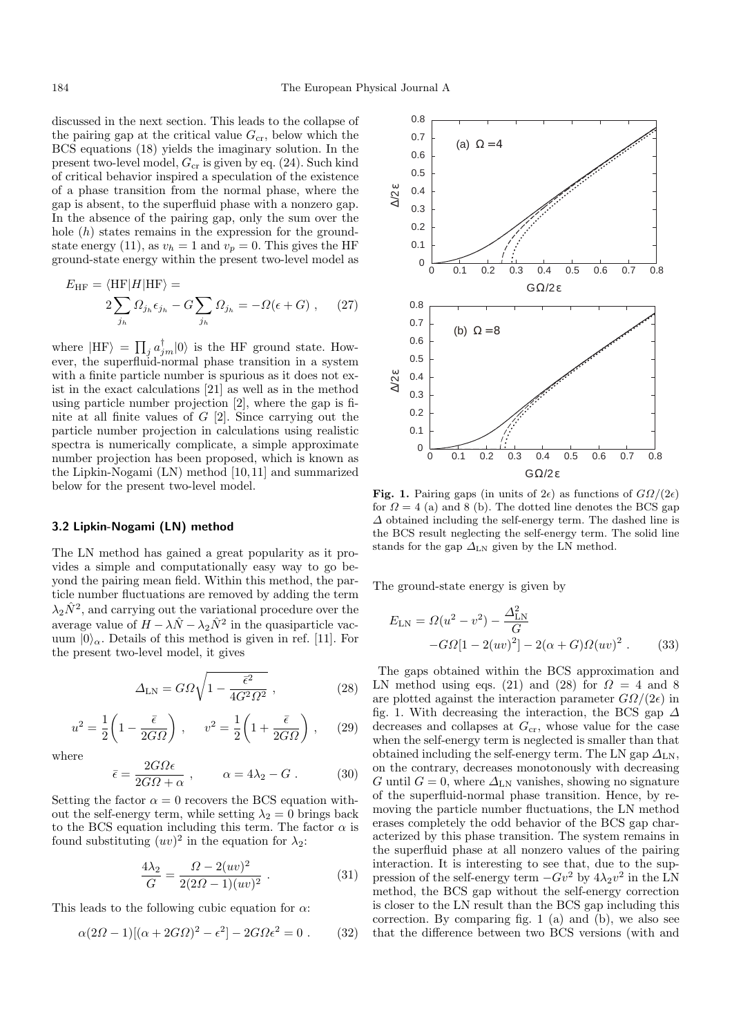discussed in the next section. This leads to the collapse of the pairing gap at the critical value  $G_{cr}$ , below which the BCS equations (18) yields the imaginary solution. In the present two-level model,  $G_{cr}$  is given by eq. (24). Such kind of criticalbehavior inspired a speculation of the existence of a phase transition from the normal phase, where the gap is absent, to the superfluid phase with a nonzero gap. In the absence of the pairing gap, only the sum over the hole  $(h)$  states remains in the expression for the groundstate energy (11), as  $v_h = 1$  and  $v_p = 0$ . This gives the HF ground-state energy within the present two-level model as

$$
E_{\rm HF} = \langle \text{HF} | H | \text{HF} \rangle =
$$
  
 
$$
2 \sum_{j_h} \Omega_{j_h} \epsilon_{j_h} - G \sum_{j_h} \Omega_{j_h} = -\Omega(\epsilon + G) , \qquad (27)
$$

where  $|HF\rangle = \prod_j a_{jm}^{\dagger} |0\rangle$  is the HF ground state. However, the superfluid-normal phase transition in a system with a finite particle number is spurious as it does not exist in the exact calculations [21] as well as in the method using particle number projection [2], where the gap is finite at all finite values of G [2]. Since carrying out the particle number projection in calculations using realistic spectra is numerically complicate, a simple approximate number projection has been proposed, which is known as the Lipkin-Nogami (LN) method [10, 11] and summarized below for the present two-level model.

#### **3.2 Lipkin-Nogami (LN) method**

The LN method has gained a great popularity as it provides a simple and computationally easy way to go beyond the pairing mean field. Within this method, the particle number fluctuations are removed by adding the term  $\lambda_2 \hat{N}^2$ , and carrying out the variational procedure over the average value of  $H - \lambda \hat{N} - \lambda_2 \hat{N}^2$  in the quasiparticle vacuum  $|0\rangle_{\alpha}$ . Details of this method is given in ref. [11]. For the present two-level model, it gives

$$
\Delta_{\rm LN} = G\Omega \sqrt{1 - \frac{\bar{\epsilon}^2}{4G^2 \Omega^2}} \,, \tag{28}
$$

$$
u^2 = \frac{1}{2} \left( 1 - \frac{\bar{\epsilon}}{2G\Omega} \right) , \qquad v^2 = \frac{1}{2} \left( 1 + \frac{\bar{\epsilon}}{2G\Omega} \right) , \tag{29}
$$

where

$$
\bar{\epsilon} = \frac{2G\Omega\epsilon}{2G\Omega + \alpha} , \qquad \alpha = 4\lambda_2 - G . \tag{30}
$$

Setting the factor  $\alpha = 0$  recovers the BCS equation without the self-energy term, while setting  $\lambda_2 = 0$  brings back to the BCS equation including this term. The factor  $\alpha$  is found substituting  $(uv)^2$  in the equation for  $\lambda_2$ :

$$
\frac{4\lambda_2}{G} = \frac{\Omega - 2(uv)^2}{2(2\Omega - 1)(uv)^2} . \tag{31}
$$

This leads to the following cubic equation for  $\alpha$ :

$$
\alpha (2\Omega - 1)[(\alpha + 2G\Omega)^2 - \epsilon^2] - 2G\Omega \epsilon^2 = 0. \tag{32}
$$



**Fig. 1.** Pairing gaps (in units of  $2\epsilon$ ) as functions of  $G\Omega/(2\epsilon)$ for  $\Omega = 4$  (a) and 8 (b). The dotted line denotes the BCS gap ∆ obtained including the self-energy term. The dashed line is the BCS result neglecting the self-energy term. The solid line stands for the gap  $\Delta_{LN}$  given by the LN method.

The ground-state energy is given by

$$
E_{LN} = \Omega(u^2 - v^2) - \frac{\Delta_{LN}^2}{G}
$$

$$
-G\Omega[1 - 2(uv)^2] - 2(\alpha + G)\Omega(uv)^2.
$$
 (33)

The gaps obtained within the BCS approximation and LN method using eqs. (21) and (28) for  $\Omega = 4$  and 8 are plotted against the interaction parameter  $G\Omega/(2\epsilon)$  in fig. 1. With decreasing the interaction, the BCS gap  $\Delta$ decreases and collapses at  $G_{cr}$ , whose value for the case when the self-energy term is neglected is smaller than that obtained including the self-energy term. The LN gap  $\Delta_{LN}$ , on the contrary, decreases monotonously with decreasing G until  $G = 0$ , where  $\Delta_{LN}$  vanishes, showing no signature of the superfluid-normal phase transition. Hence, by removing the particle number fluctuations, the LN method erases completely the odd behavior of the BCS gap characterized by this phase transition. The system remains in the superfluid phase at all nonzero values of the pairing interaction. It is interesting to see that, due to the suppression of the self-energy term  $-Gv^2$  by  $4\lambda_2v^2$  in the LN method, the BCS gap without the self-energy correction is closer to the LN result than the BCS gap including this correction. By comparing fig. 1 (a) and (b), we also see that the difference between two BCS versions (with and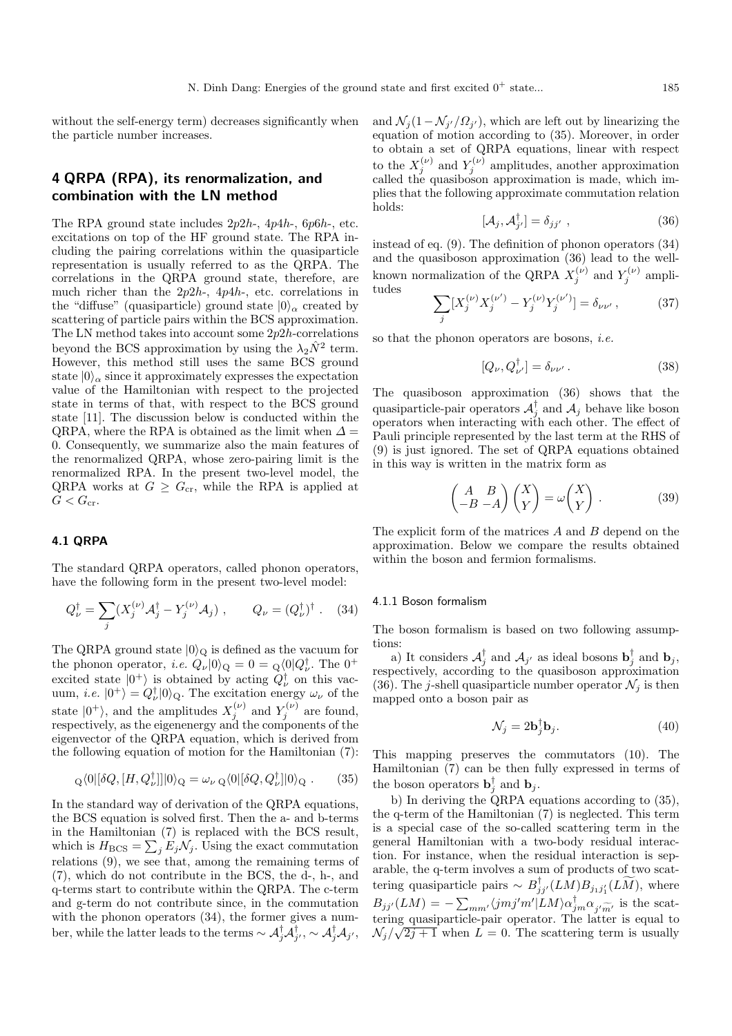without the self-energy term) decreases significantly when the particle number increases.

# **4 QRPA (RPA), its renormalization, and combination with the LN method**

The RPA ground state includes  $2p2h$ -,  $4p4h$ -,  $6p6h$ -, etc. excitations on top of the HF ground state. The RPA including the pairing correlations within the quasiparticle representation is usually referred to as the QRPA. The correlations in the QRPA ground state, therefore, are much richer than the  $2p2h$ -,  $4p4h$ -, etc. correlations in the "diffuse" (quasiparticle) ground state  $|0\rangle_{\alpha}$  created by scattering of particle pairs within the BCS approximation. The LN method takes into account some  $2p2h$ -correlations beyond the BCS approximation by using the  $\lambda_2\hat{N}^2$  term. However, this method still uses the same BCS ground state  $|0\rangle_{\alpha}$  since it approximately expresses the expectation value of the Hamiltonian with respect to the projected state in terms of that, with respect to the BCS ground state [11]. The discussion below is conducted within the QRPA, where the RPA is obtained as the limit when  $\Delta =$ 0. Consequently, we summarize also the main features of the renormalized QRPA, whose zero-pairing limit is the renormalized RPA. In the present two-level model, the QRPA works at  $G \geq G_{cr}$ , while the RPA is applied at  $G < G_{\rm cr}.$ 

#### **4.1 QRPA**

The standard QRPA operators, called phonon operators, have the following form in the present two-level model:

$$
Q_{\nu}^{\dagger} = \sum_{j} (X_j^{(\nu)} \mathcal{A}_j^{\dagger} - Y_j^{(\nu)} \mathcal{A}_j) , \qquad Q_{\nu} = (Q_{\nu}^{\dagger})^{\dagger} . \quad (34)
$$

The QRPA ground state  $|0\rangle_{\mathbf{Q}}$  is defined as the vacuum for the phonon operator, *i.e.*  $Q_{\nu}|0\rangle_{\mathbf{Q}} = 0 = Q\langle 0|Q_{\nu}^{\dagger}$ . The 0<sup>+</sup><br>oxcited state  $|0^{+}\rangle$  is obtained by acting  $Q_{\nu}^{\dagger}$  on this year. excited state  $|0^+\rangle$  is obtained by acting  $Q^{\dagger}_{\nu}$  on this vacuum, *i.e.*  $|0^{+}\rangle = Q_{\nu}^{\dagger}|0\rangle_{Q}$ . The excitation energy  $\omega_{\nu}$  of the state  $|0^+\rangle$ , and the amplitudes  $X_j^{(\nu)}$  and  $Y_j^{(\nu)}$  are found, respectively, as the eigenenergy and the components of the eigenvector of the QRPA equation, which is derived from the following equation of motion for the Hamiltonian (7):

$$
Q\langle 0|[\delta Q, [H, Q^{\dagger}_{\nu}]]|0\rangle_{Q} = \omega_{\nu} Q\langle 0|[\delta Q, Q^{\dagger}_{\nu}]|0\rangle_{Q}. \qquad (35)
$$

In the standard way of derivation of the ORPA equations. the BCS equation is solved first. Then the a- and b-terms in the Hamiltonian (7) is replaced with the BCS result, which is  $H_{\text{BCS}} = \sum_j E_j \mathcal{N}_j$ . Using the exact commutation relations (9), we see that, among the remaining terms of (7), which do not contribute in the BCS, the d-, h-, and q-terms start to contribute within the QRPA. The c-term and g-term do not contribute since, in the commutation with the phonon operators  $(34)$ , the former gives a number, while the latter leads to the terms  $\sim \mathcal{A}_{j}^{\dagger} \mathcal{A}_{j'}^{\dagger}$ ,  $\sim \mathcal{A}_{j}^{\dagger} \mathcal{A}_{j'}$ ,

and  $\mathcal{N}_i(1-\mathcal{N}_{i'}/\Omega_{i'})$ , which are left out by linearizing the equation of motion according to (35). Moreover, in order to obtain a set of QRPA equations, linear with respect to the  $X_j^{(\nu)}$  and  $Y_j^{(\nu)}$  amplitudes, another approximation called the quasiboson approximation is made, which implies that the following approximate commutation relation holds:

$$
[\mathcal{A}_j, \mathcal{A}_{j'}^\top] = \delta_{jj'} , \qquad (36)
$$

instead of eq. (9). The definition of phonon operators (34) and the quasiboson approximation (36) lead to the wellknown normalization of the QRPA  $X_j^{(\nu)}$  and  $Y_j^{(\nu)}$  amplitudes

$$
\sum_{j} [X_j^{(\nu)} X_j^{(\nu')} - Y_j^{(\nu)} Y_j^{(\nu')}] = \delta_{\nu\nu'}, \qquad (37)
$$

so that the phonon operators are bosons, i.e.

$$
[Q_{\nu}, Q_{\nu'}^{\dagger}] = \delta_{\nu\nu'}.
$$
 (38)

The quasiboson approximation (36) shows that the quasiparticle-pair operators  $\mathcal{A}_{j}^{\dagger}$  and  $\mathcal{A}_{j}$  behave like boson operators when interacting with each other. The effect of Pauli principle represented by the last term at the RHS of (9) is just ignored. The set of QRPA equations obtained in this way is written in the matrix form as

$$
\begin{pmatrix} A & B \\ -B & -A \end{pmatrix} \begin{pmatrix} X \\ Y \end{pmatrix} = \omega \begin{pmatrix} X \\ Y \end{pmatrix} . \tag{39}
$$

The explicit form of the matrices A and B depend on the approximation. Below we compare the results obtained within the boson and fermion formalisms.

#### 4.1.1 Boson formalism

The boson formalism is based on two following assumptions:

a) It considers  $\mathcal{A}_{j}^{\dagger}$  and  $\mathcal{A}_{j'}$  as ideal bosons  $\mathbf{b}_{j}^{\dagger}$  and  $\mathbf{b}_{j}$ , respectively, according to the quasiboson approximation (36). The j-shell quasiparticle number operator  $\mathcal{N}_j$  is then mapped onto a boson pair as

$$
\mathcal{N}_j = 2\mathbf{b}_j^{\dagger}\mathbf{b}_j. \tag{40}
$$

This mapping preserves the commutators (10). The Hamiltonian (7) can be then fully expressed in terms of the boson operators  $\mathbf{b}_j^{\dagger}$  and  $\mathbf{b}_j$ .

b) In deriving the QRPA equations according to (35), the q-term of the Hamiltonian (7) is neglected. This term is a special case of the so-called scattering term in the general Hamiltonian with a two-body residual interaction. For instance, when the residual interaction is separable, the q-term involves a sum of products of two scattering quasiparticle pairs  $\sim B_{jj'}^{\dagger}(LM)B_{j_1j'_1}(LM)$ , where  $B_{jj'}(LM) = -\sum_{mm'} \langle jmj'm'|LM \rangle \alpha_{jm}^{\dagger} \alpha_{j'm'}^{\dagger}$  is the scattering quasiparticle-pair operator. The latter is equal to  $N_j/\sqrt{2j+1}$  when  $L = 0$ . The scattering term is usually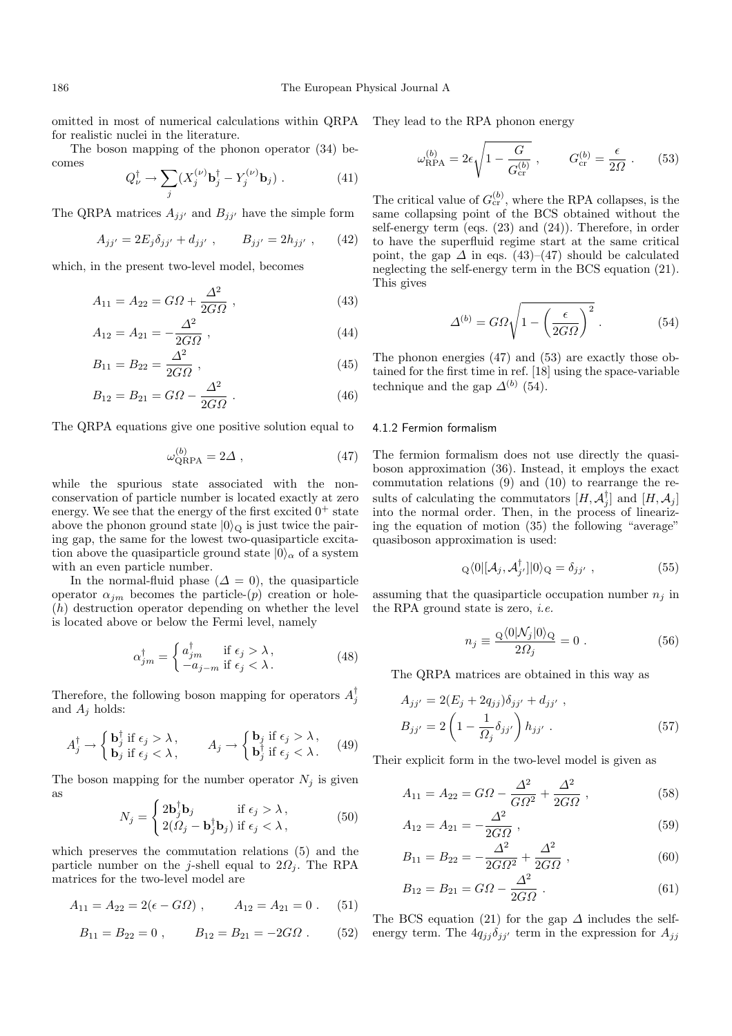omitted in most of numerical calculations within QRPA for realistic nuclei in the literature.

The boson mapping of the phonon operator (34) becomes

$$
Q_{\nu}^{\dagger} \rightarrow \sum_{j} (X_j^{(\nu)} \mathbf{b}_j^{\dagger} - Y_j^{(\nu)} \mathbf{b}_j) . \tag{41}
$$

The QRPA matrices  $A_{ji'}$  and  $B_{ji'}$  have the simple form

$$
A_{jj'} = 2E_j \delta_{jj'} + d_{jj'}, \qquad B_{jj'} = 2h_{jj'}, \qquad (42)
$$

which, in the present two-level model, becomes

$$
A_{11} = A_{22} = G\Omega + \frac{\Delta^2}{2G\Omega} \,, \tag{43}
$$

$$
A_{12} = A_{21} = -\frac{\Delta^2}{2G\Omega} \,, \tag{44}
$$

$$
B_{11} = B_{22} = \frac{\Delta^2}{2G\Omega} \,, \tag{45}
$$

$$
B_{12} = B_{21} = G\Omega - \frac{\Delta^2}{2G\Omega} \,. \tag{46}
$$

The QRPA equations give one positive solution equal to

$$
\omega_{\text{QRPA}}^{(b)} = 2\Delta \tag{47}
$$

while the spurious state associated with the nonconservation of particle number is located exactly at zero energy. We see that the energy of the first excited  $0^+$  state above the phonon ground state  $|0\rangle_{\mathcal{Q}}$  is just twice the pairing gap, the same for the lowest two-quasiparticle excitation above the quasiparticle ground state  $|0\rangle_{\alpha}$  of a system with an even particle number.

In the normal-fluid phase  $(\Delta = 0)$ , the quasiparticle operator  $\alpha_{jm}$  becomes the particle-(p) creation or hole-(h) destruction operator depending on whether the level is located above or below the Fermi level, namely

$$
\alpha_{jm}^{\dagger} = \begin{cases} a_{jm}^{\dagger} & \text{if } \epsilon_j > \lambda \,, \\ -a_{j-m} & \text{if } \epsilon_j < \lambda \,. \end{cases} \tag{48}
$$

Therefore, the following boson mapping for operators  $A_j^{\dagger}$ and  $A_j$  holds:

$$
A_j^{\dagger} \rightarrow \begin{cases} \mathbf{b}_j^{\dagger} \text{ if } \epsilon_j > \lambda, \\ \mathbf{b}_j \text{ if } \epsilon_j < \lambda, \end{cases} \qquad A_j \rightarrow \begin{cases} \mathbf{b}_j \text{ if } \epsilon_j > \lambda, \\ \mathbf{b}_j^{\dagger} \text{ if } \epsilon_j < \lambda. \end{cases} (49)
$$

The boson mapping for the number operator  $N_j$  is given as

$$
N_j = \begin{cases} 2\mathbf{b}_j^{\dagger}\mathbf{b}_j & \text{if } \epsilon_j > \lambda, \\ 2(\Omega_j - \mathbf{b}_j^{\dagger}\mathbf{b}_j) & \text{if } \epsilon_j < \lambda, \end{cases}
$$
 (50)

which preserves the commutation relations (5) and the particle number on the j-shell equal to  $2\Omega_i$ . The RPA matrices for the two-level model are

$$
A_{11} = A_{22} = 2(\epsilon - G\Omega) , \qquad A_{12} = A_{21} = 0 . \tag{51}
$$

$$
B_{11} = B_{22} = 0 , \qquad B_{12} = B_{21} = -2G\Omega . \qquad (52)
$$

They lead to the RPA phonon energy

$$
\omega_{\rm RPA}^{(b)} = 2\epsilon \sqrt{1 - \frac{G}{G_{\rm cr}^{(b)}}}, \qquad G_{\rm cr}^{(b)} = \frac{\epsilon}{2\Omega} . \qquad (53)
$$

The critical value of  $G_{\text{cr}}^{(b)}$ , where the RPA collapses, is the same collapsing point of the BCS obtained without the self-energy term (eqs. (23) and (24)). Therefore, in order to have the superfluid regime start at the same critical point, the gap  $\Delta$  in eqs. (43)–(47) should be calculated neglecting the self-energy term in the BCS equation (21). This gives

$$
\Delta^{(b)} = G\Omega \sqrt{1 - \left(\frac{\epsilon}{2G\Omega}\right)^2} \,. \tag{54}
$$

The phonon energies (47) and (53) are exactly those obtained for the first time in ref. [18] using the space-variable technique and the gap  $\Delta^{(b)}$  (54).

#### 4.1.2 Fermion formalism

The fermion formalism does not use directly the quasiboson approximation (36). Instead, it employs the exact commutation relations (9) and (10) to rearrange the results of calculating the commutators  $[H, \mathcal{A}_j^{\dagger}]$  and  $[H, \mathcal{A}_j]$ into the normal order. Then, in the process of linearizing the equation of motion (35) the following "average" quasiboson approximation is used:

$$
Q\langle 0|[\mathcal{A}_j, \mathcal{A}_{j'}^\dagger]|0\rangle Q = \delta_{jj'} , \qquad (55)
$$

assuming that the quasiparticle occupation number  $n_i$  in the RPA ground state is zero, *i.e.* 

$$
n_j \equiv \frac{\mathcal{Q}\langle 0|\mathcal{N}_j|0\rangle \mathcal{Q}}{2\Omega_j} = 0.
$$
 (56)

The QRPA matrices are obtained in this way as

$$
A_{jj'} = 2(E_j + 2q_{jj})\delta_{jj'} + d_{jj'} ,
$$
  
\n
$$
B_{jj'} = 2\left(1 - \frac{1}{\Omega_j}\delta_{jj'}\right)h_{jj'} .
$$
\n(57)

Their explicit form in the two-level model is given as

$$
A_{11} = A_{22} = G\Omega - \frac{\Delta^2}{G\Omega^2} + \frac{\Delta^2}{2G\Omega} \,,\tag{58}
$$

$$
A_{12} = A_{21} = -\frac{\Delta^2}{2G\Omega} \,, \tag{59}
$$

$$
B_{11} = B_{22} = -\frac{\Delta^2}{2G\Omega^2} + \frac{\Delta^2}{2G\Omega} , \qquad (60)
$$

$$
B_{12} = B_{21} = G\Omega - \frac{\Delta^2}{2G\Omega} \ . \tag{61}
$$

The BCS equation (21) for the gap  $\Delta$  includes the selfenergy term. The  $4q_{jj}\delta_{jj'}$  term in the expression for  $A_{jj}$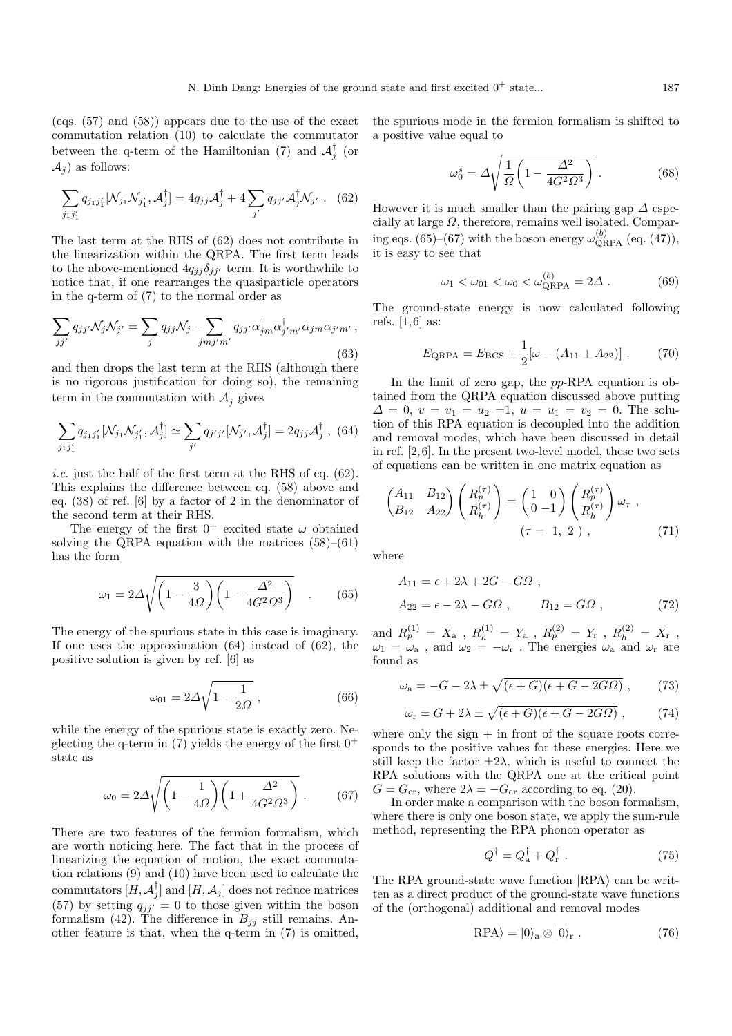(eqs. (57) and (58)) appears due to the use of the exact commutation relation (10) to calculate the commutator between the q-term of the Hamiltonian (7) and  $\mathcal{A}_{j}^{\dagger}$  (or  $\mathcal{A}_i$ ) as follows:

$$
\sum_{j_1,j'_1} q_{j_1j'_1} [\mathcal{N}_{j_1} \mathcal{N}_{j'_1}, \mathcal{A}_j^{\dagger}] = 4 q_{jj} \mathcal{A}_j^{\dagger} + 4 \sum_{j'} q_{jj'} \mathcal{A}_j^{\dagger} \mathcal{N}_{j'} .
$$
 (62)

The last term at the RHS of (62) does not contribute in the linearization within the QRPA. The first term leads to the above-mentioned  $4q_{jj}\delta_{jj'}$  term. It is worthwhile to notice that, if one rearranges the quasiparticle operators in the q-term of  $(7)$  to the normal order as

$$
\sum_{jj'} q_{jj'} \mathcal{N}_j \mathcal{N}_{j'} = \sum_j q_{jj} \mathcal{N}_j - \sum_{jmj'm'} q_{jj'} \alpha_{jm}^\dagger \alpha_{j'm'}^\dagger \alpha_{jm} \alpha_{j'm'} ,
$$
\n(63)

and then drops the last term at the RHS (although there is no rigorous justification for doing so), the remaining term in the commutation with  $\mathcal{A}_{j}^{\dagger}$  gives

$$
\sum_{j_1,j'_1} q_{j_1j'_1} [\mathcal{N}_{j_1} \mathcal{N}_{j'_1}, \mathcal{A}_j^{\dagger}] \simeq \sum_{j'} q_{j'j'} [\mathcal{N}_{j'}, \mathcal{A}_j^{\dagger}] = 2q_{jj} \mathcal{A}_j^{\dagger} , \tag{64}
$$

*i.e.* just the half of the first term at the RHS of eq.  $(62)$ . This explains the difference between eq. (58) above and eq. (38) of ref. [6] by a factor of 2 in the denominator of the second term at their RHS.

The energy of the first  $0^+$  excited state  $\omega$  obtained solving the QRPA equation with the matrices  $(58)$ – $(61)$ has the form

$$
\omega_1 = 2\Delta \sqrt{\left(1 - \frac{3}{4\Omega}\right)\left(1 - \frac{\Delta^2}{4G^2\Omega^3}\right)} \quad . \tag{65}
$$

The energy of the spurious state in this case is imaginary. If one uses the approximation (64) instead of (62), the positive solution is given by ref. [6] as

$$
\omega_{01} = 2\Delta\sqrt{1 - \frac{1}{2\Omega}}\,,\tag{66}
$$

while the energy of the spurious state is exactly zero. Neglecting the q-term in (7) yields the energy of the first  $0^+$ state as

$$
\omega_0 = 2\Delta \sqrt{\left(1 - \frac{1}{4\Omega}\right)\left(1 + \frac{\Delta^2}{4G^2\Omega^3}\right)}.
$$
 (67)

There are two features of the fermion formalism, which are worth noticing here. The fact that in the process of linearizing the equation of motion, the exact commutation relations (9) and (10) have been used to calculate the commutators  $[H, \mathcal{A}_{j}^{\dagger}]$  and  $[H, \mathcal{A}_{j}]$  does not reduce matrices (57) by setting  $q_{jj'} = 0$  to those given within the boson formalism (42). The difference in  $B_{jj}$  still remains. Another feature is that, when the q-term in (7) is omitted,

the spurious mode in the fermion formalism is shifted to a positive value equal to

$$
\omega_0^s = \Delta \sqrt{\frac{1}{\Omega} \left( 1 - \frac{\Delta^2}{4G^2 \Omega^3} \right)}.
$$
\n(68)

However it is much smaller than the pairing gap  $\Delta$  especially at large  $\Omega$ , therefore, remains well isolated. Comparing eqs. (65)–(67) with the boson energy  $\omega_{\text{QRPA}}^{(b)}$  (eq. (47)), it is easy to see that

$$
\omega_1 < \omega_{01} < \omega_0 < \omega_{\text{QRPA}}^{(b)} = 2\Delta \tag{69}
$$

The ground-state energy is now calculated following refs.  $[1,6]$  as:

$$
E_{\text{QRPA}} = E_{\text{BCS}} + \frac{1}{2} [\omega - (A_{11} + A_{22})] \ . \tag{70}
$$

In the limit of zero gap, the pp-RPA equation is obtained from the QRPA equation discussed above putting  $\Delta = 0, v = v_1 = u_2 = 1, u = u_1 = v_2 = 0.$  The solution of this RPA equation is decoupled into the addition and removal modes, which have been discussed in detail in ref. [2,6]. In the present two-level model, these two sets of equations can be written in one matrix equation as

$$
\begin{pmatrix} A_{11} & B_{12} \ B_{12} & A_{22} \end{pmatrix} \begin{pmatrix} R_p^{(\tau)} \ R_h^{(\tau)} \end{pmatrix} = \begin{pmatrix} 1 & 0 \ 0 & -1 \end{pmatrix} \begin{pmatrix} R_p^{(\tau)} \ R_h^{(\tau)} \end{pmatrix} \omega_{\tau} ,
$$
\n
$$
(\tau = 1, 2), \qquad (71)
$$

where

$$
A_{11} = \epsilon + 2\lambda + 2G - G\Omega ,
$$
  
\n
$$
A_{22} = \epsilon - 2\lambda - G\Omega , \qquad B_{12} = G\Omega ,
$$
\n(72)

and  $R_p^{(1)} = X_a$  ,  $R_h^{(1)} = Y_a$  ,  $R_p^{(2)} = Y_r$  ,  $R_h^{(2)} = X_r$  ,  $\omega_1 = \omega_a$ , and  $\omega_2 = -\omega_r$ . The energies  $\omega_a$  and  $\omega_r$  are found as

$$
\omega_{\rm a} = -G - 2\lambda \pm \sqrt{(\epsilon + G)(\epsilon + G - 2G\Omega)}\,,\qquad(73)
$$

$$
\omega_{\rm r} = G + 2\lambda \pm \sqrt{(\epsilon + G)(\epsilon + G - 2G\Omega)} \,, \tag{74}
$$

where only the sign  $+$  in front of the square roots corresponds to the positive values for these energies. Here we still keep the factor  $\pm 2\lambda$ , which is useful to connect the RPA solutions with the QRPA one at the critical point  $G = G_{\rm cr}$ , where  $2\lambda = -G_{\rm cr}$  according to eq. (20).

In order make a comparison with the boson formalism, where there is only one boson state, we apply the sum-rule method, representing the RPA phonon operator as

$$
Q^{\dagger} = Q_{\rm a}^{\dagger} + Q_{\rm r}^{\dagger} \ . \tag{75}
$$

The RPA ground-state wave function  $|RPA\rangle$  can be written as a direct product of the ground-state wave functions of the (orthogonal) additional and removal modes

$$
|RPA\rangle = |0\rangle_a \otimes |0\rangle_r . \qquad (76)
$$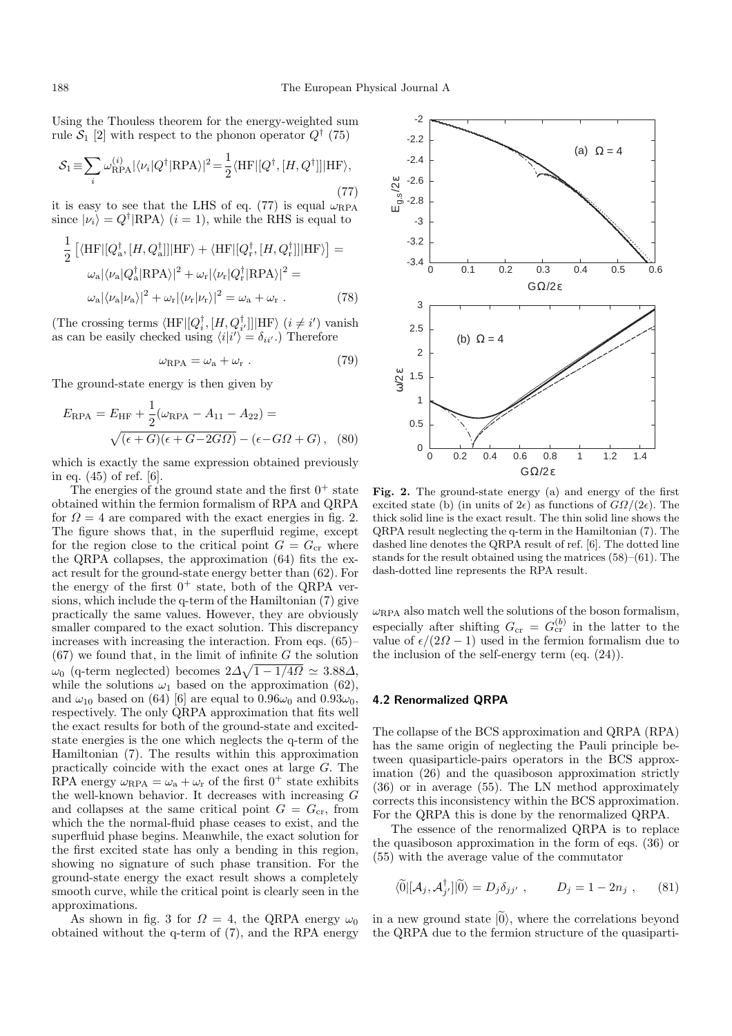Using the Thouless theorem for the energy-weighted sum rule  $S_1$  [2] with respect to the phonon operator  $Q^{\dagger}$  (75)

$$
S_1 \equiv \sum_i \omega_{\text{RPA}}^{(i)} |\langle \nu_i | Q^\dagger | \text{RPA} \rangle|^2 = \frac{1}{2} \langle \text{HF} | [Q^\dagger, [H, Q^\dagger]] | \text{HF} \rangle, \tag{77}
$$

it is easy to see that the LHS of eq. (77) is equal  $\omega_{\rm RPA}$ since  $|\nu_i\rangle = Q^{\dagger}|\text{RPA}\rangle$  (*i* = 1), while the RHS is equal to

$$
\frac{1}{2} \left[ \langle \mathrm{HF} | [Q_{\mathrm{a}}^{\dagger}, [H, Q_{\mathrm{a}}^{\dagger}]] | \mathrm{HF} \rangle + \langle \mathrm{HF} | [Q_{\mathrm{r}}^{\dagger}, [H, Q_{\mathrm{r}}^{\dagger}]] | \mathrm{HF} \rangle \right] =
$$

$$
\omega_{\mathrm{a}} |\langle \nu_{\mathrm{a}} | Q_{\mathrm{a}}^{\dagger} | \mathrm{RPA} \rangle |^{2} + \omega_{\mathrm{r}} |\langle \nu_{\mathrm{r}} | Q_{\mathrm{r}}^{\dagger} | \mathrm{RPA} \rangle |^{2} =
$$

$$
\omega_{\mathrm{a}} |\langle \nu_{\mathrm{a}} | \nu_{\mathrm{a}} \rangle |^{2} + \omega_{\mathrm{r}} |\langle \nu_{\mathrm{r}} | \nu_{\mathrm{r}} \rangle |^{2} = \omega_{\mathrm{a}} + \omega_{\mathrm{r}} . \tag{78}
$$

(The crossing terms  $\langle \text{HF} | [Q_i^\intercal, [H, Q_i^\intercal]] | \text{HF} \rangle$   $(i \neq i')$  vanish as can be easily checked using  $\langle i|i'\rangle = \delta_{ii'}$ .) Therefore

$$
\omega_{\rm RPA} = \omega_{\rm a} + \omega_{\rm r} \ . \tag{79}
$$

The ground-state energy is then given by

$$
E_{\rm RPA} = E_{\rm HF} + \frac{1}{2}(\omega_{\rm RPA} - A_{11} - A_{22}) =
$$
  
 
$$
\sqrt{(\epsilon + G)(\epsilon + G - 2G\Omega)} - (\epsilon - G\Omega + G),
$$
 (80)

which is exactly the same expression obtained previously in eq. (45) of ref. [6].

The energies of the ground state and the first  $0^+$  state obtained within the fermion formalism of RPA and QRPA for  $\Omega = 4$  are compared with the exact energies in fig. 2. The figure shows that, in the superfluid regime, except for the region close to the critical point  $G = G_{cr}$  where the QRPA collapses, the approximation (64) fits the exact result for the ground-state energy better than (62). For the energy of the first  $0^+$  state, both of the QRPA versions, which include the q-term of the Hamiltonian (7) give practically the same values. However, they are obviously smaller compared to the exact solution. This discrepancy increases with increasing the interaction. From eqs. (65)–  $(67)$  we found that, in the limit of infinite G the solution  $ω_0$  (q-term neglected) becomes  $2Δ√1 - 1/4Ω ≈ 3.88Δ,$ while the solutions  $\omega_1$  based on the approximation (62), and  $\omega_{10}$  based on (64) [6] are equal to  $0.96\omega_0$  and  $0.93\omega_0$ , respectively. The only QRPA approximation that fits well the exact results for both of the ground-state and excitedstate energies is the one which neglects the q-term of the Hamiltonian (7). The results within this approximation practically coincide with the exact ones at large G. The RPA energy  $\omega_{\rm RPA} = \omega_{\rm a} + \omega_{\rm r}$  of the first  $0^+$  state exhibits the well-known behavior. It decreases with increasing G and collapses at the same critical point  $G = G_{cr}$ , from which the the normal-fluid phase ceases to exist, and the superfluid phase begins. Meanwhile, the exact solution for the first excited state has only a bending in this region, showing no signature of such phase transition. For the ground-state energy the exact result shows a completely smooth curve, while the critical point is clearly seen in the approximations.

As shown in fig. 3 for  $\Omega = 4$ , the QRPA energy  $\omega_0$ obtained without the q-term of (7), and the RPA energy



Fig. 2. The ground-state energy (a) and energy of the first excited state (b) (in units of  $2\epsilon$ ) as functions of  $G\Omega/(2\epsilon)$ . The thick solid line is the exact result. The thin solid line shows the QRPA result neglecting the q-term in the Hamiltonian (7). The dashed line denotes the QRPA result of ref. [6]. The dotted line stands for the result obtained using the matrices (58)–(61). The dash-dotted line represents the RPA result.

 $\omega_{\text{RPA}}$  also match well the solutions of the boson formalism, especially after shifting  $G_{\text{cr}} = G_{\text{cr}}^{(b)}$  in the latter to the value of  $\epsilon/(2\Omega - 1)$  used in the fermion formalism due to the inclusion of the self-energy term (eq. (24)).

#### **4.2 Renormalized QRPA**

The collapse of the BCS approximation and QRPA (RPA) has the same origin of neglecting the Pauli principle between quasiparticle-pairs operators in the BCS approximation (26) and the quasiboson approximation strictly (36) or in average (55). The LN method approximately corrects this inconsistency within the BCS approximation. For the QRPA this is done by the renormalized QRPA.

The essence of the renormalized QRPA is to replace the quasiboson approximation in the form of eqs. (36) or (55) with the average value of the commutator

$$
\langle \widetilde{0} | [\mathcal{A}_j, \mathcal{A}_{j'}^{\dagger}] | \widetilde{0} \rangle = D_j \delta_{jj'} , \qquad D_j = 1 - 2n_j , \qquad (81)
$$

in a new ground state  $|0\rangle$ , where the correlations beyond the QRPA due to the fermion structure of the quasiparti-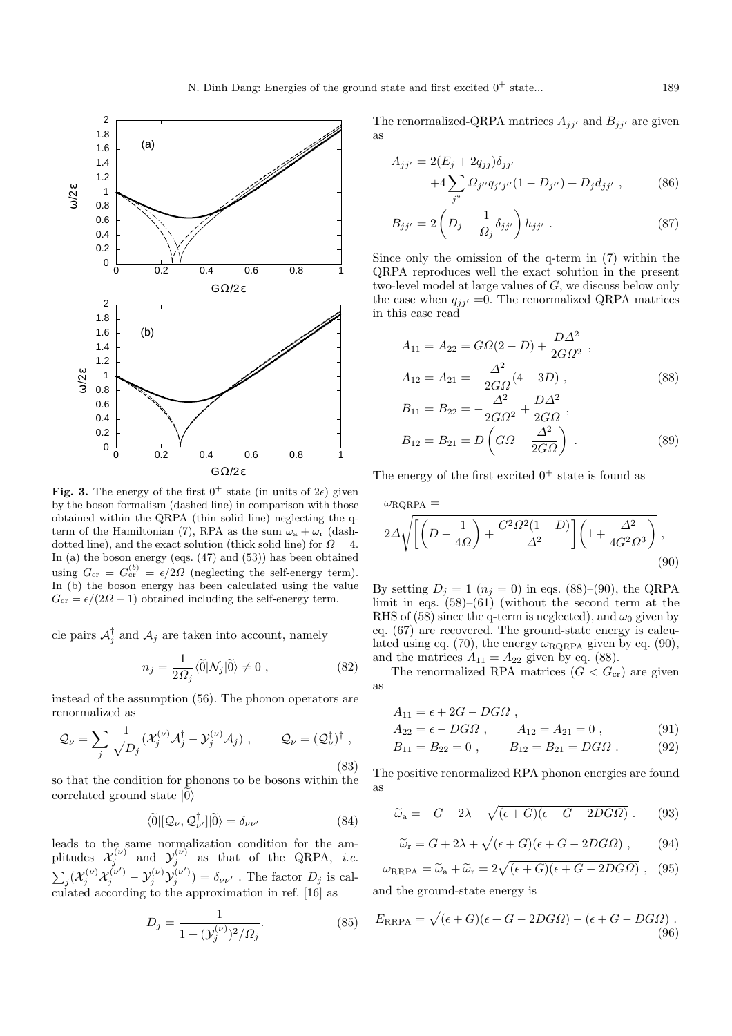

**Fig. 3.** The energy of the first  $0^+$  state (in units of  $2\epsilon$ ) given by the boson formalism (dashed line) in comparison with those obtained within the QRPA (thin solid line) neglecting the  $q$ term of the Hamiltonian (7), RPA as the sum  $\omega_a + \omega_r$  (dashdotted line), and the exact solution (thick solid line) for  $\Omega = 4$ . In (a) the boson energy (eqs.  $(47)$  and  $(53)$ ) has been obtained using  $G_{\rm cr} = G_{\rm cr}^{(b)} = \epsilon/2\Omega$  (neglecting the self-energy term). In (b) the boson energy has been calculated using the value  $G_{\rm cr} = \epsilon/(2\Omega - 1)$  obtained including the self-energy term.

cle pairs  $\mathcal{A}_{j}^{\dagger}$  and  $\mathcal{A}_{j}$  are taken into account, namely

$$
n_j = \frac{1}{2\Omega_j} \langle \tilde{0} | \mathcal{N}_j | \tilde{0} \rangle \neq 0 , \qquad (82)
$$

instead of the assumption (56). The phonon operators are renormalized as

$$
\mathcal{Q}_{\nu} = \sum_{j} \frac{1}{\sqrt{D_j}} (\mathcal{X}_{j}^{(\nu)} \mathcal{A}_{j}^{\dagger} - \mathcal{Y}_{j}^{(\nu)} \mathcal{A}_{j}), \qquad \mathcal{Q}_{\nu} = (\mathcal{Q}_{\nu}^{\dagger})^{\dagger},
$$
\n(83)

so that the condition for phonons to be bosons within the correlated ground state  $|0\rangle$ 

$$
\langle \widetilde{0} | [ \mathcal{Q}_{\nu}, \mathcal{Q}_{\nu'}^{\dagger} ] | \widetilde{0} \rangle = \delta_{\nu \nu'} \tag{84}
$$

leads to the same normalization condition for the amplitudes  $\mathcal{X}_j^{(\nu)}$  and  $\mathcal{Y}_j^{(\nu)}$  as that of the QRPA, *i.e.*  $\sum_j (\mathcal{X}_j^{(\nu)} \mathcal{X}_j^{(\nu')} - \mathcal{Y}_j^{(\nu)} \mathcal{Y}_j^{(\nu')}) = \delta_{\nu\nu'}$  . The factor  $D_j$  is calculated according to the approximation in ref. [16] as

$$
D_j = \frac{1}{1 + (\mathcal{Y}_j^{(\nu)})^2 / \Omega_j}.
$$
\n(85)

The renormalized-QRPA matrices  $A_{jj'}$  and  $B_{jj'}$  are given as

$$
A_{jj'} = 2(E_j + 2q_{jj})\delta_{jj'}
$$
  
+4 $\sum_{j''}$   $\Omega_{j''} q_{j'j''}(1 - D_{j''}) + D_j d_{jj'}$ , (86)

$$
B_{jj'} = 2\left(D_j - \frac{1}{\Omega_j} \delta_{jj'}\right) h_{jj'} . \tag{87}
$$

Since only the omission of the q-term in (7) within the QRPA reproduces well the exact solution in the present two-level model at large values of G, we discuss below only the case when  $q_{jj'} = 0$ . The renormalized QRPA matrices in this case read

$$
A_{11} = A_{22} = G\Omega(2 - D) + \frac{D\Delta^2}{2G\Omega^2} ,
$$
  
\n
$$
A_{12} = A_{21} = -\frac{\Delta^2}{2G\Omega}(4 - 3D) ,
$$
  
\n
$$
B = \frac{\Delta^2}{2G\Omega} \qquad D\Delta^2
$$
 (88)

$$
B_{11} = B_{22} = -\frac{\Delta^2}{2G\Omega^2} + \frac{D\Delta^2}{2G\Omega},
$$
  
\n
$$
B_{12} = B_{21} = D\left(G\Omega - \frac{\Delta^2}{2G\Omega}\right).
$$
 (89)

The energy of the first excited  $0^+$  state is found as

$$
\omega_{\text{RQRPA}} =
$$
  
 
$$
2\Delta \sqrt{\left[\left(D - \frac{1}{4\Omega}\right) + \frac{G^2 \Omega^2 (1 - D)}{\Delta^2}\right] \left(1 + \frac{\Delta^2}{4G^2 \Omega^3}\right)},
$$
  
(90)

By setting  $D_i = 1$   $(n_i = 0)$  in eqs. (88)–(90), the QRPA limit in eqs.  $(58)$ – $(61)$  (without the second term at the RHS of (58) since the q-term is neglected), and  $\omega_0$  given by eq. (67) are recovered. The ground-state energy is calculated using eq. (70), the energy  $\omega_{\rm RQRPA}$  given by eq. (90), and the matrices  $A_{11} = A_{22}$  given by eq. (88).

The renormalized RPA matrices  $(G < G_{cr})$  are given as

$$
A_{11} = \epsilon + 2G - DGA ,A_{22} = \epsilon - DGA , A_{12} = A_{21} = 0 ,
$$
 (91)

$$
B_{11} = B_{22} = 0 , \qquad B_{12} = B_{21} = DG\Omega . \tag{92}
$$

The positive renormalized RPA phonon energies are found as

$$
\widetilde{\omega}_a = -G - 2\lambda + \sqrt{(\epsilon + G)(\epsilon + G - 2DG\Omega)}.
$$
 (93)

$$
\widetilde{\omega}_{\rm r} = G + 2\lambda + \sqrt{(\epsilon + G)(\epsilon + G - 2DGM)} \,, \tag{94}
$$

$$
\omega_{\rm RRPA} = \tilde{\omega}_{\rm a} + \tilde{\omega}_{\rm r} = 2\sqrt{(\epsilon + G)(\epsilon + G - 2DG\Omega)} \,, \tag{95}
$$

and the ground-state energy is

$$
E_{\rm RRPA} = \sqrt{(\epsilon + G)(\epsilon + G - 2DG\Omega)} - (\epsilon + G - DG\Omega) \tag{96}
$$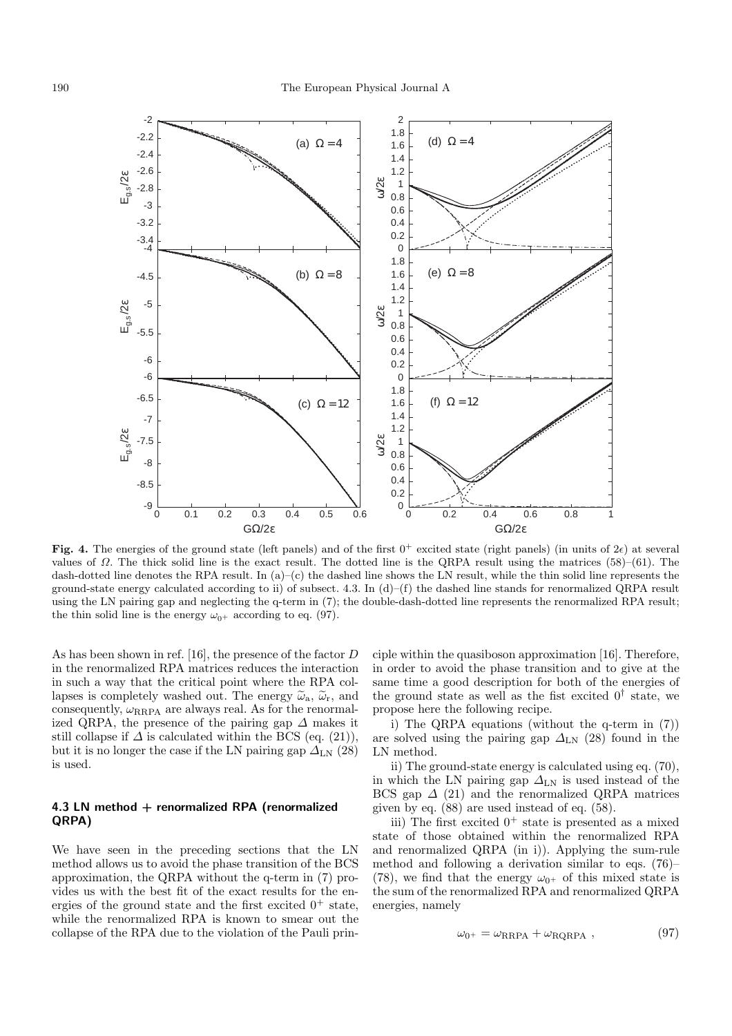

**Fig. 4.** The energies of the ground state (left panels) and of the first  $0^+$  excited state (right panels) (in units of  $2\epsilon$ ) at several values of  $\Omega$ . The thick solid line is the exact result. The dotted line is the QRPA result using the matrices (58)–(61). The dash-dotted line denotes the RPA result. In  $(a)$ – $(c)$  the dashed line shows the LN result, while the thin solid line represents the ground-state energy calculated according to ii) of subsect. 4.3. In  $(d)$ –(f) the dashed line stands for renormalized QRPA result using the LN pairing gap and neglecting the q-term in (7); the double-dash-dotted line represents the renormalized RPA result; the thin solid line is the energy  $\omega_{0+}$  according to eq. (97).

As has been shown in ref. [16], the presence of the factor D in the renormalized RPA matrices reduces the interaction in such a way that the critical point where the RPA collapses is completely washed out. The energy  $\tilde{\omega}_a$ ,  $\tilde{\omega}_r$ , and consequently,  $\omega_{\text{RRPA}}$  are always real. As for the renormalized QRPA, the presence of the pairing gap  $\Delta$  makes it still collapse if  $\Delta$  is calculated within the BCS (eq. (21)), but it is no longer the case if the LN pairing gap  $\Delta_{LN}$  (28) is used.

### **4.3 LN method + renormalized RPA (renormalized QRPA)**

We have seen in the preceding sections that the LN method allows us to avoid the phase transition of the BCS approximation, the QRPA without the q-term in (7) provides us with the best fit of the exact results for the energies of the ground state and the first excited  $0^+$  state, while the renormalized RPA is known to smear out the collapse of the RPA due to the violation of the Pauli prin-

ciple within the quasiboson approximation [16]. Therefore, in order to avoid the phase transition and to give at the same time a good description for both of the energies of the ground state as well as the fist excited  $0^{\dagger}$  state, we propose here the following recipe.

i) The QRPA equations (without the q-term in (7)) are solved using the pairing gap  $\Delta_{LN}$  (28) found in the LN method.

ii) The ground-state energy is calculated using eq. (70), in which the LN pairing gap  $\Delta_{LN}$  is used instead of the BCS gap  $\Delta$  (21) and the renormalized QRPA matrices given by eq. (88) are used instead of eq. (58).

iii) The first excited  $0^+$  state is presented as a mixed state of those obtained within the renormalized RPA and renormalized QRPA (in i)). Applying the sum-rule method and following a derivation similar to eqs. (76)– (78), we find that the energy  $\omega_{0^+}$  of this mixed state is the sum of the renormalized RPA and renormalized QRPA energies, namely

$$
\omega_{0^+} = \omega_{\rm RRPA} + \omega_{\rm RQRPA} \ , \qquad (97)
$$